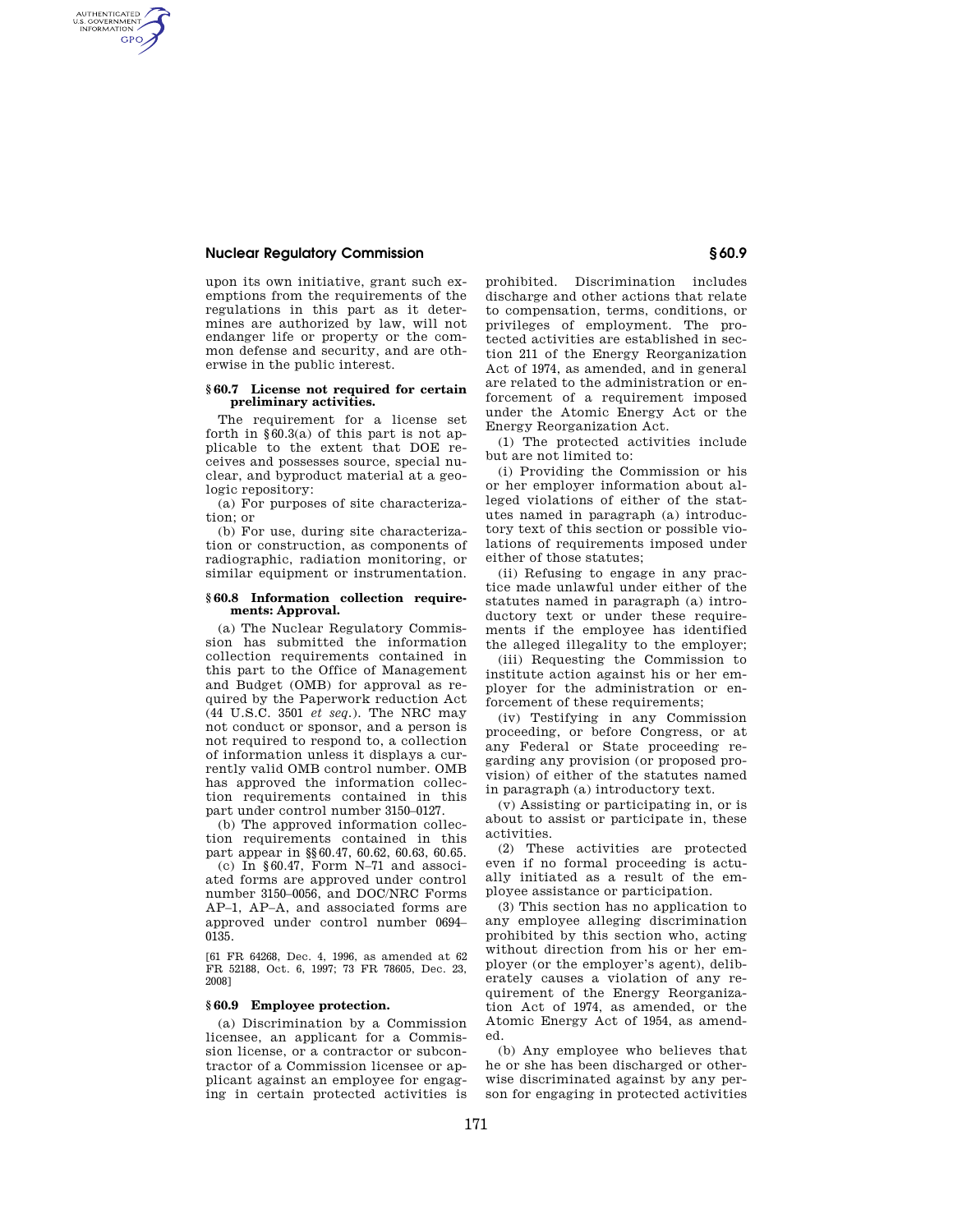# **Nuclear Regulatory Commission § 60.9**

AUTHENTICATED<br>U.S. GOVERNMENT<br>INFORMATION **GPO** 

> upon its own initiative, grant such exemptions from the requirements of the regulations in this part as it determines are authorized by law, will not endanger life or property or the common defense and security, and are otherwise in the public interest.

## **§ 60.7 License not required for certain preliminary activities.**

The requirement for a license set forth in §60.3(a) of this part is not applicable to the extent that DOE receives and possesses source, special nuclear, and byproduct material at a geologic repository:

(a) For purposes of site characterization; or

(b) For use, during site characterization or construction, as components of radiographic, radiation monitoring, or similar equipment or instrumentation.

## **§ 60.8 Information collection requirements: Approval.**

(a) The Nuclear Regulatory Commission has submitted the information collection requirements contained in this part to the Office of Management and Budget (OMB) for approval as required by the Paperwork reduction Act (44 U.S.C. 3501 *et seq.*). The NRC may not conduct or sponsor, and a person is not required to respond to, a collection of information unless it displays a currently valid OMB control number. OMB has approved the information collection requirements contained in this part under control number 3150–0127.

(b) The approved information collection requirements contained in this part appear in §§60.47, 60.62, 60.63, 60.65.

(c) In §60.47, Form N–71 and associated forms are approved under control number 3150–0056, and DOC/NRC Forms AP–1, AP–A, and associated forms are approved under control number 0694– 0135.

[61 FR 64268, Dec. 4, 1996, as amended at 62 FR 52188, Oct. 6, 1997; 73 FR 78605, Dec. 23, 2008]

#### **§ 60.9 Employee protection.**

(a) Discrimination by a Commission licensee, an applicant for a Commission license, or a contractor or subcontractor of a Commission licensee or applicant against an employee for engaging in certain protected activities is prohibited. Discrimination includes discharge and other actions that relate to compensation, terms, conditions, or privileges of employment. The protected activities are established in section 211 of the Energy Reorganization Act of 1974, as amended, and in general are related to the administration or enforcement of a requirement imposed under the Atomic Energy Act or the Energy Reorganization Act.

(1) The protected activities include but are not limited to:

(i) Providing the Commission or his or her employer information about alleged violations of either of the statutes named in paragraph (a) introductory text of this section or possible violations of requirements imposed under either of those statutes;

(ii) Refusing to engage in any practice made unlawful under either of the statutes named in paragraph (a) introductory text or under these requirements if the employee has identified the alleged illegality to the employer;

(iii) Requesting the Commission to institute action against his or her employer for the administration or enforcement of these requirements;

(iv) Testifying in any Commission proceeding, or before Congress, or at any Federal or State proceeding regarding any provision (or proposed provision) of either of the statutes named in paragraph (a) introductory text.

(v) Assisting or participating in, or is about to assist or participate in, these activities.

(2) These activities are protected even if no formal proceeding is actually initiated as a result of the employee assistance or participation.

(3) This section has no application to any employee alleging discrimination prohibited by this section who, acting without direction from his or her employer (or the employer's agent), deliberately causes a violation of any requirement of the Energy Reorganization Act of 1974, as amended, or the Atomic Energy Act of 1954, as amended.

(b) Any employee who believes that he or she has been discharged or otherwise discriminated against by any person for engaging in protected activities